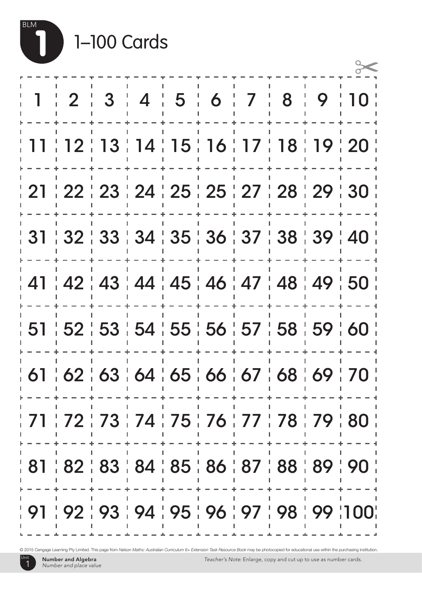

|  | 1-100 Cards |
|--|-------------|
|--|-------------|

| $\mathbf{1}$                                    |  |  |  |  | $2$ $3$ $4$ $5$ $6$ $7$ $8$ $9$ $10$                       |
|-------------------------------------------------|--|--|--|--|------------------------------------------------------------|
|                                                 |  |  |  |  | 11   12   13   14   15   16   17   18   19   20            |
|                                                 |  |  |  |  | <u>  21   22   23   24   25   25   27   28   29   30  </u> |
|                                                 |  |  |  |  | ╎ 31 ╎ 32 ╎ 33 ╎ 34 ╎ 35 ╎ 36 ╎ 37 ╎ 38 ╎ 39 ╎ 40 ╎        |
|                                                 |  |  |  |  | ; 41 ; 42 ; 43 ; 44 ; 45 ; 46 ; 47 ; 48 ; 49 ; 50 ;        |
|                                                 |  |  |  |  | ╎ 51 ╎ 52 ╎ 53 ╎ 54 ╎ 55 ╎ 56 ╎ 57 ╎ 58 ╎ 59 ╎ 60 ╎        |
| 61   62   63   64   65   66   67   68   69   70 |  |  |  |  |                                                            |
|                                                 |  |  |  |  | ; 71 ; 72 ; 73 ; 74 ; 75 ; 76 ; 77 ; 78 ; 79 ; 80 ;        |
| 81   82   83   84   85   86   87   88   89   90 |  |  |  |  |                                                            |
|                                                 |  |  |  |  | ; 91 ; 92 ; 93 ; 94 ; 95 ; 96 ; 97 ; 98 ; 99 ;100;         |

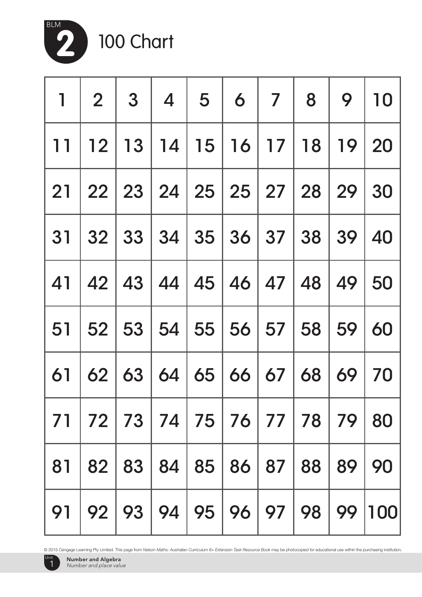

100 Chart

|    | $1 \ 2 \ 3 \ 4 \ 5 \ 6 \ 7 \ 8$            |         |                                  |  |    | 9 10                                            |
|----|--------------------------------------------|---------|----------------------------------|--|----|-------------------------------------------------|
|    |                                            |         |                                  |  |    | 11   12   13   14   15   16   17   18   19   20 |
|    |                                            |         |                                  |  |    | 21   22   23   24   25   25   27   28   29   30 |
|    |                                            |         |                                  |  |    | 31 32 33 34 35 36 37 38 39 40                   |
|    |                                            |         |                                  |  |    | 41   42   43   44   45   46   47   48   49   50 |
|    |                                            |         |                                  |  |    | 51   52   53   54   55   56   57   58   59   60 |
|    |                                            |         |                                  |  |    | 61   62   63   64   65   66   67   68   69   70 |
|    | 71   72   73   74   75   76   77   78   79 |         |                                  |  |    | 80                                              |
| 81 |                                            | 82   83 | 84 85 86 87 88                   |  | 89 | 90                                              |
| 91 |                                            |         | 92   93   94   95   96   97   98 |  | 99 | 100                                             |

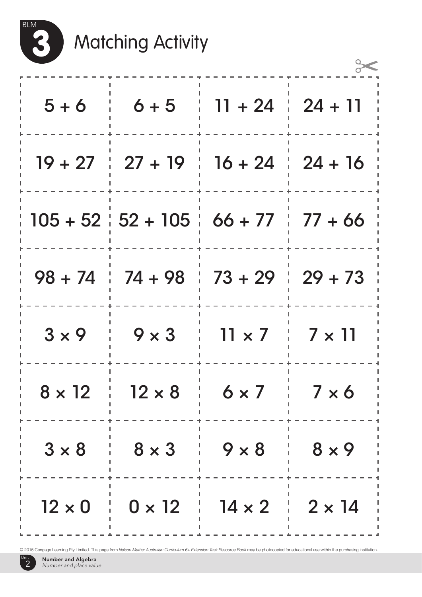

## 3 Matching Activity

| $5 + 6$       | $6 + 5$                                 | $11 + 24$     | $24 + 11$     |
|---------------|-----------------------------------------|---------------|---------------|
|               | $19 + 27$ $\div$ 27 + 19 $\div$ 16 + 24 |               | $24 + 16$     |
|               | $105 + 52 \div 52 + 105 \div 66 + 77$   |               | $77+66$       |
|               | $98 + 74$ $174 + 98$ $173 + 29$         |               | $29 + 73$     |
| $3 \times 9$  | $9 \times 3$                            | $11 \times 7$ | $7 \times 11$ |
| $8 \times 12$ | $12 \times 8$                           | $6 \times 7$  | $7 \times 6$  |
| $3 \times 8$  | $8 \times 3$                            | $9 \times 8$  | $8 \times 9$  |
| $12 \times 0$ | $0 \times 12$                           | $14 \times 2$ | $2 \times 14$ |

© 2015 Cengage Learning Pty Limited. This page from *Nelson Maths: Australian Curriculum 6+ Extension Task Resource Book* may be photocopied for educational use within the purchasing institution.

Unit 2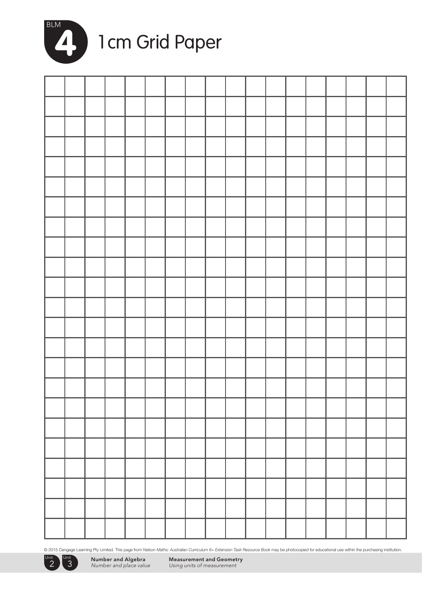

### 1 de la Grid Paper

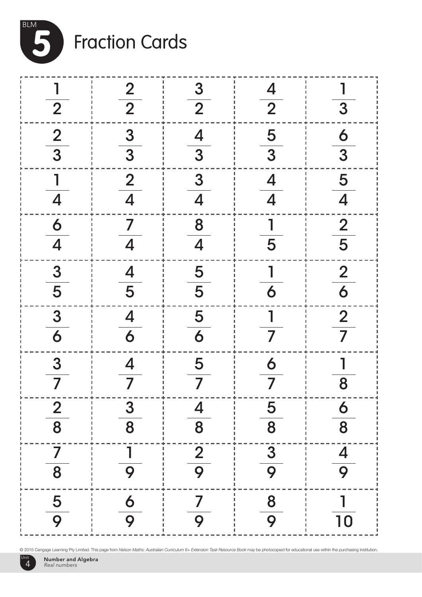

# Fraction Cards

|                                                                                                    |                                                                                   |                              | $\frac{4}{2}$                             |                                                                                                    |
|----------------------------------------------------------------------------------------------------|-----------------------------------------------------------------------------------|------------------------------|-------------------------------------------|----------------------------------------------------------------------------------------------------|
|                                                                                                    |                                                                                   |                              |                                           |                                                                                                    |
|                                                                                                    |                                                                                   |                              |                                           |                                                                                                    |
| $\frac{1}{2}$<br>$\frac{2}{3}$<br>$\frac{1}{4}$<br>$\frac{6}{4}$<br>$\frac{3}{5}$<br>$\frac{3}{6}$ | $\frac{2}{3}$<br>$\frac{3}{3}$<br>$\frac{2}{4}$<br>$\frac{7}{4}$<br>$\frac{4}{5}$ |                              | $\frac{5}{3}$ $\frac{4}{4}$ $\frac{1}{5}$ | $\frac{1}{3}$<br>$\frac{6}{3}$<br>$\frac{5}{4}$<br>$\frac{2}{5}$<br>$\frac{2}{6}$<br>$\frac{2}{7}$ |
|                                                                                                    |                                                                                   |                              |                                           |                                                                                                    |
|                                                                                                    | $\begin{array}{c}\n4 \\ \hline\n6 \\ \hline\n4 \\ \hline\n7\n\end{array}$         |                              | $\frac{1}{6}$ $\frac{1}{7}$               |                                                                                                    |
| $\frac{3}{7}$                                                                                      |                                                                                   | $\frac{5}{7}$                | $\frac{6}{7}$                             | $\frac{1}{8}$                                                                                      |
| $\overline{2}$<br>8                                                                                | $\boldsymbol{3}$<br>8                                                             | 4<br>$\overline{\mathbf{8}}$ | 5<br>$\overline{8}$                       | <b>6</b><br>8                                                                                      |
| 8                                                                                                  | 9                                                                                 | $rac{2}{9}$                  | 3<br>9                                    | $\overline{\mathcal{A}}$<br>9                                                                      |
| 5<br>9                                                                                             | $\frac{6}{9}$                                                                     | 9                            | 8<br>9                                    | 10                                                                                                 |

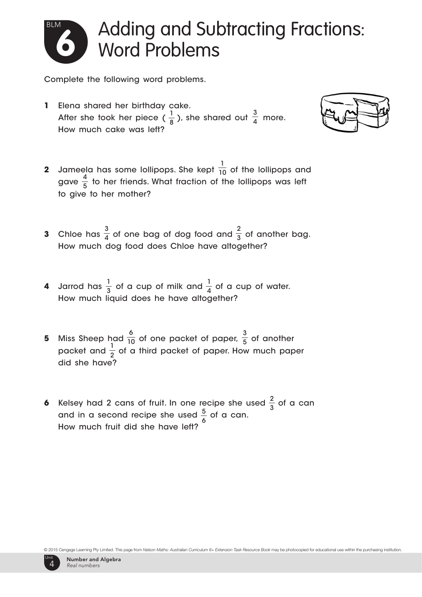

### Adding and Subtracting Fractions: Word Problems

Complete the following word problems.

1 8 3 After she took her piece (  $\frac{1}{8}$  ), she shared out  $\frac{3}{4}$  more. **1** Elena shared her birthday cake. How much cake was left?



- 1  $\frac{4}{4}$  to be friends What fraction of the 5 **2** Jameela has some lollipops. She kept  $\overline{10}$  of the lollipops and gave  $\frac{1}{5}$  to her friends. What fraction of the lollipops was left to give to her mother?
- 3 4 2 **3** Chloe has  $\frac{1}{4}$  of one bag of dog food and  $\frac{1}{3}$  of another bag. How much dog food does Chloe have altogether?
- 1 3 1 **4** Jarrod has  $\frac{1}{3}$  of a cup of milk and  $\frac{1}{4}$  of a cup of water. How much liquid does he have altogether?
- 1 2 6 10 3 **5** Miss Sheep had  $\frac{1}{10}$  of one packet of paper,  $\frac{1}{5}$  of another packet and  $\frac{1}{2}$  of a third packet of paper. How much paper did she have?
- 2  $5$  of a can 6 **6** Kelsey had 2 cans of fruit. In one recipe she used  $\frac{2}{3}$  of a can and in a second recipe she used  $\frac{3}{7}$  of a can. How much fruit did she have left?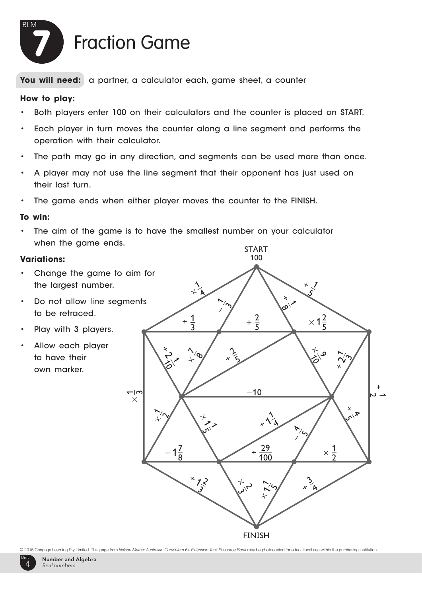

**How to play: You will need:** a partner, a calculator each, game sheet, a counter

#### **How to play:**

- tor 100 on their calculators and • Both players enter 100 on their calculators and the counter is placed on START.  $\,$
- Each player in turn moves the counter along a line segment and performs the operation with their calculator.
- The path may go in any direction, and segments can be used more than once.
- **To win:** • A player may not use the line segment that their opponent has just used on their last turn.
- **Variations:** • The game ends when either player moves the counter to the FINISH.

#### **To win:**

• The aim of the game is to have the smallest number on your calculator when the game ends.

#### **Variations:**

- Change the game to aim for the largest number.
- • Do not allow line segments to be retraced.
- Play with 3 players.
- Allow each player to have their own marker.



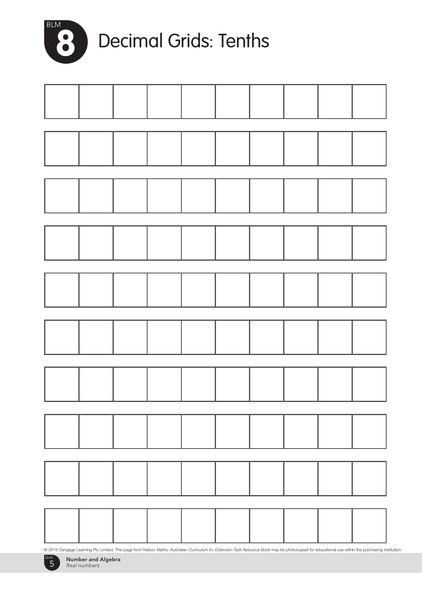

### 8 Decimal Grids: Tenths



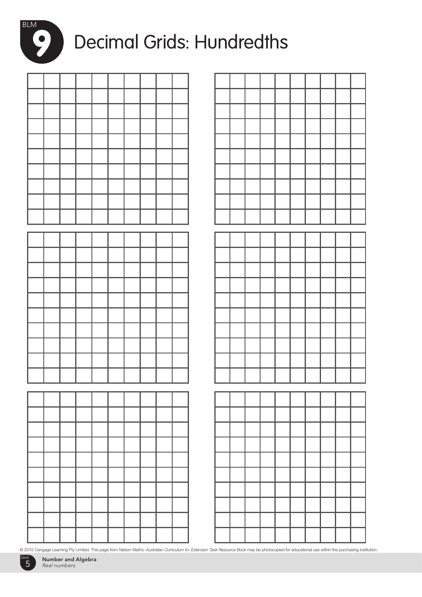

### Decimal Grids: Hundredths

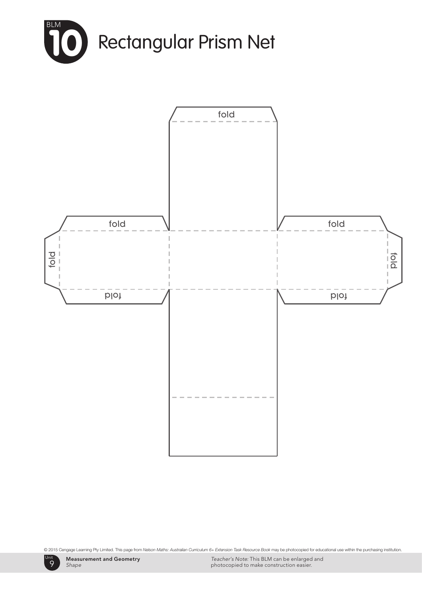



Unit 9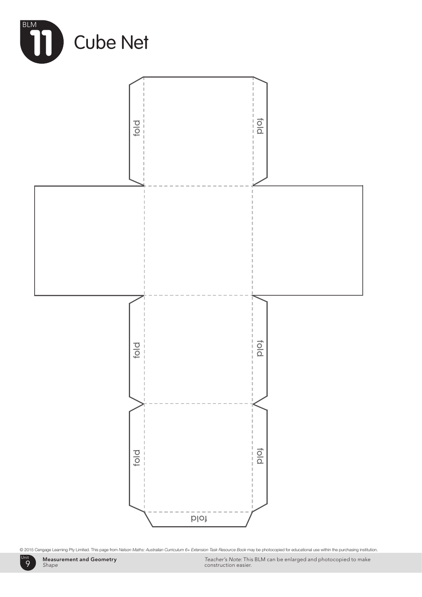

Measurement and Geometry *Shape*

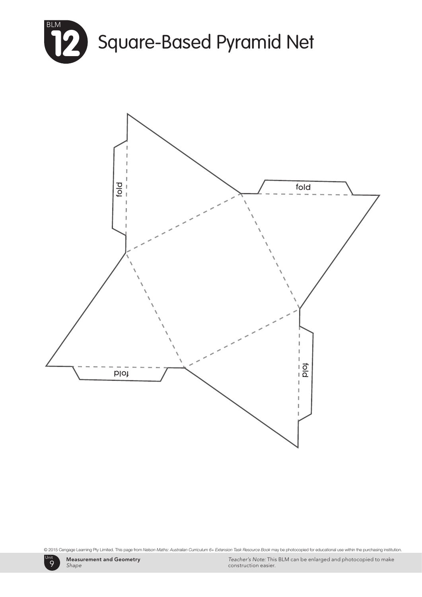



Unit 9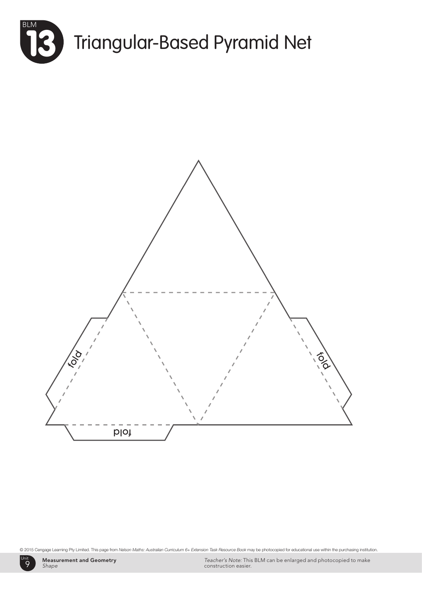



Unit 9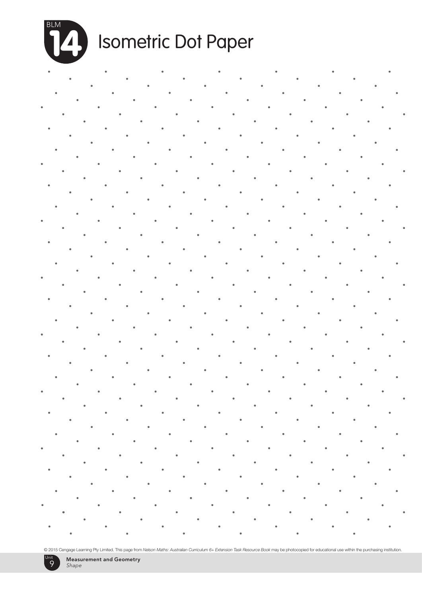

## Isometric Dot Paper

end a strong de la strong de la strong de la strong de la strong de la strong de la strong de la strong de la strong de la strong de la strong de la strong de la strong de la strong de la strong de la strong de la strong d

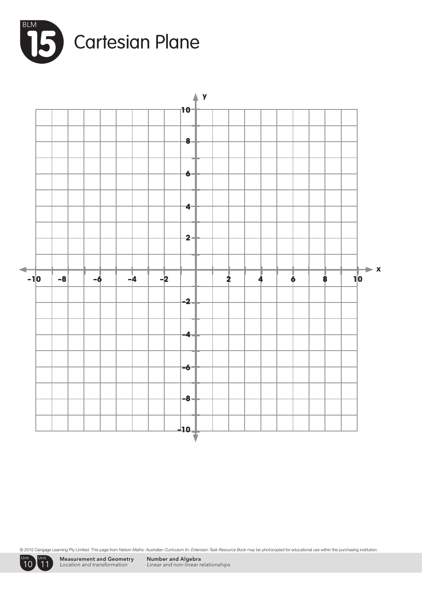





Measurement and Geometry *Location and transformation*

Number and Algebra *Linear and non-linear relationships*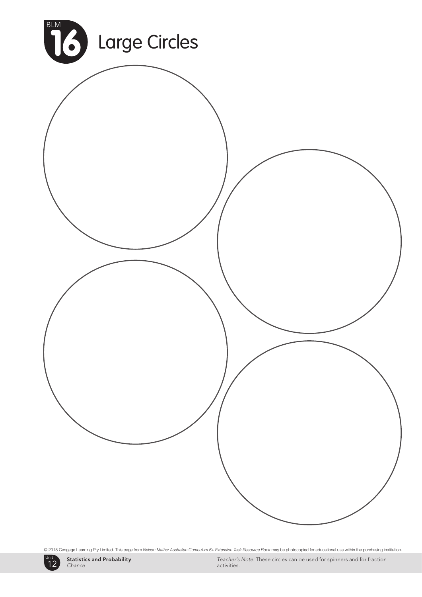



*Teacher's Note:* These circles can be used for spinners and for fraction activities.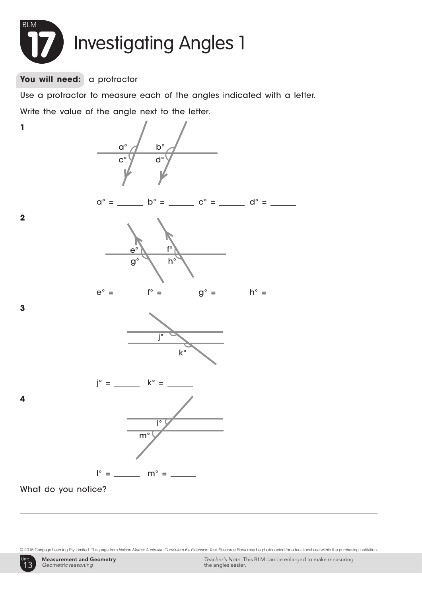

#### You will need: a protractor

**1**

**2**

**3**

**4**

Use a protractor to measure each of the angles indicated with a letter.

Write the value of the angle next to the letter.

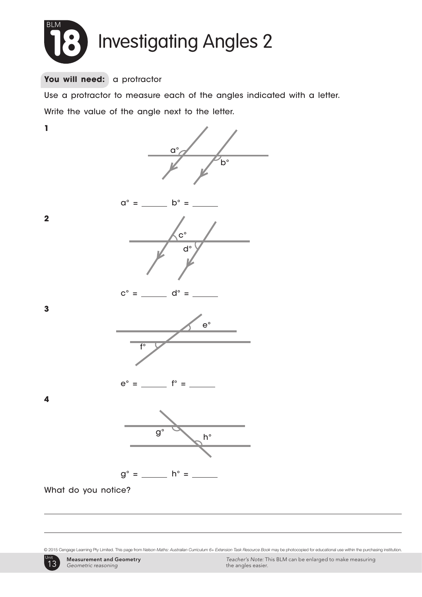

#### You will need: a protractor

Use a protractor to measure each of the angles indicated with a letter. Write the value of the angle next to the letter.



© 2015 Cengage Learning Pty Limited. This page from *Nelson Maths: Australian Curriculum 6+ Extension Task Resource Book* may be photocopied for educational use within the purchasing institution.



Measurement and Geometry *Geometric reasoning*

*Teacher's Note:* This BLM can be enlarged to make measuring the angles easier.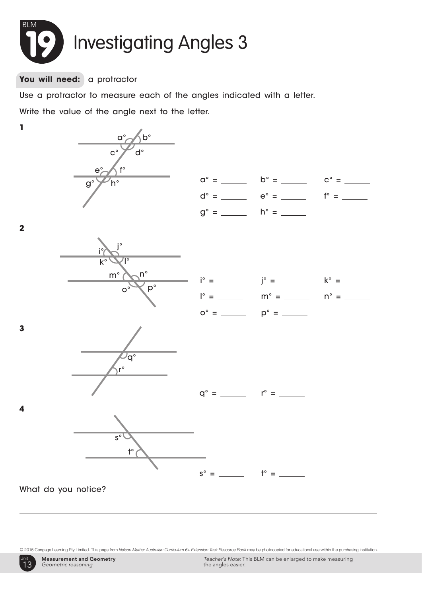

You will need: a protractor

Use a protractor to measure each of the angles indicated with a letter.

Write the value of the angle next to the letter.



© 2015 Cengage Learning Pty Limited. This page from *Nelson Maths: Australian Curriculum 6+ Extension Task Resource Book* may be photocopied for educational use within the purchasing institution.

Unit 1 13 Unit

*Teacher's Note:* This BLM can be enlarged to make measuring the angles easier.